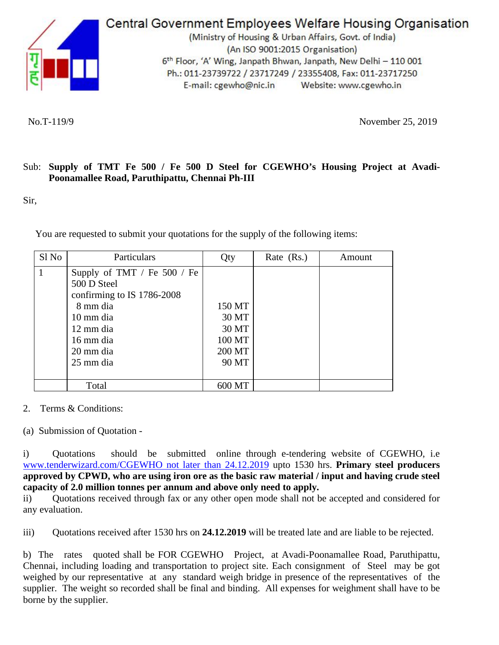

**Central Government Employees Welfare Housing Organisation** 

(Ministry of Housing & Urban Affairs, Govt. of India) (An ISO 9001:2015 Organisation) 6<sup>th</sup> Floor, 'A' Wing, Janpath Bhwan, Janpath, New Delhi - 110 001 Ph.: 011-23739722 / 23717249 / 23355408, Fax: 011-23717250 E-mail: cgewho@nic.in Website: www.cgewho.in

No.T-119/9 November 25, 2019

## Sub: **Supply of TMT Fe 500 / Fe 500 D Steel for CGEWHO's Housing Project at Avadi-Poonamallee Road, Paruthipattu, Chennai Ph-III**

Sir,

You are requested to submit your quotations for the supply of the following items:

| Sl No | Particulars                   | Qty    | Rate (Rs.) | Amount |
|-------|-------------------------------|--------|------------|--------|
|       | Supply of TMT / Fe $500$ / Fe |        |            |        |
|       | 500 D Steel                   |        |            |        |
|       | confirming to IS 1786-2008    |        |            |        |
|       | 8 mm dia                      | 150 MT |            |        |
|       | 10 mm dia                     | 30 MT  |            |        |
|       | 12 mm dia                     | 30 MT  |            |        |
|       | 16 mm dia                     | 100 MT |            |        |
|       | 20 mm dia                     | 200 MT |            |        |
|       | 25 mm dia                     | 90 MT  |            |        |
|       |                               |        |            |        |
|       | Total                         | 600 MT |            |        |

## 2. Terms & Conditions:

(a) Submission of Quotation -

i) Quotations should be submitted online through e-tendering website of CGEWHO, i.e [www.tenderwizard.com/CGEWHO not later than 24.12.2019](http://www.tenderwizard.com/CGEWHO%20not%20later%20than%2024.12.2019) upto 1530 hrs. **Primary steel producers approved by CPWD, who are using iron ore as the basic raw material / input and having crude steel capacity of 2.0 million tonnes per annum and above only need to apply.**

ii) Quotations received through fax or any other open mode shall not be accepted and considered for any evaluation.

iii) Quotations received after 1530 hrs on **24.12.2019** will be treated late and are liable to be rejected.

b) The rates quoted shall be FOR CGEWHO Project, at Avadi-Poonamallee Road, Paruthipattu, Chennai, including loading and transportation to project site. Each consignment of Steel may be got weighed by our representative at any standard weigh bridge in presence of the representatives of the supplier. The weight so recorded shall be final and binding. All expenses for weighment shall have to be borne by the supplier.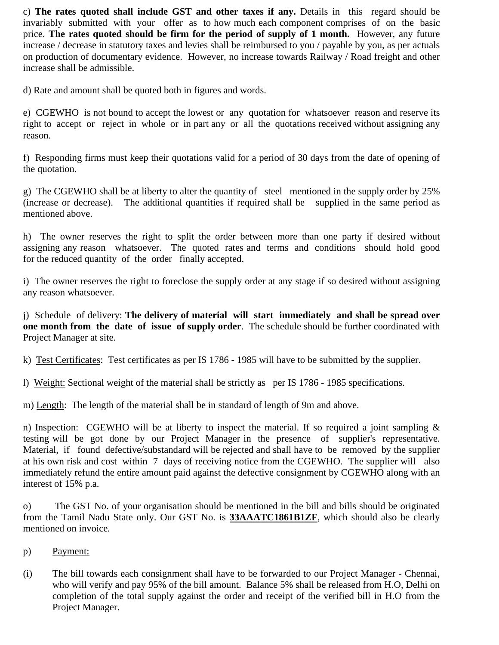c) **The rates quoted shall include GST and other taxes if any.** Details in this regard should be invariably submitted with your offer as to how much each component comprises of on the basic price. **The rates quoted should be firm for the period of supply of 1 month.** However, any future increase / decrease in statutory taxes and levies shall be reimbursed to you / payable by you, as per actuals on production of documentary evidence. However, no increase towards Railway / Road freight and other increase shall be admissible.

d) Rate and amount shall be quoted both in figures and words.

e) CGEWHO is not bound to accept the lowest or any quotation for whatsoever reason and reserve its right to accept or reject in whole or in part any or all the quotations received without assigning any reason.

f) Responding firms must keep their quotations valid for a period of 30 days from the date of opening of the quotation.

g) The CGEWHO shall be at liberty to alter the quantity of steel mentioned in the supply order by 25% (increase or decrease). The additional quantities if required shall be supplied in the same period as mentioned above.

h) The owner reserves the right to split the order between more than one party if desired without assigning any reason whatsoever. The quoted rates and terms and conditions should hold good for the reduced quantity of the order finally accepted.

i) The owner reserves the right to foreclose the supply order at any stage if so desired without assigning any reason whatsoever.

j) Schedule of delivery: **The delivery of material will start immediately and shall be spread over one month from the date of issue of supply order**. The schedule should be further coordinated with Project Manager at site.

k) Test Certificates: Test certificates as per IS 1786 - 1985 will have to be submitted by the supplier.

l) Weight: Sectional weight of the material shall be strictly as per IS 1786 - 1985 specifications.

m) Length: The length of the material shall be in standard of length of 9m and above.

n) Inspection: CGEWHO will be at liberty to inspect the material. If so required a joint sampling  $\&$ testing will be got done by our Project Manager in the presence of supplier's representative. Material, if found defective/substandard will be rejected and shall have to be removed by the supplier at his own risk and cost within 7 days of receiving notice from the CGEWHO. The supplier will also immediately refund the entire amount paid against the defective consignment by CGEWHO along with an interest of 15% p.a.

o) The GST No. of your organisation should be mentioned in the bill and bills should be originated from the Tamil Nadu State only. Our GST No. is **33AAATC1861B1ZF**, which should also be clearly mentioned on invoice*.* 

- p) Payment:
- (i) The bill towards each consignment shall have to be forwarded to our Project Manager Chennai, who will verify and pay 95% of the bill amount. Balance 5% shall be released from H.O, Delhi on completion of the total supply against the order and receipt of the verified bill in H.O from the Project Manager.